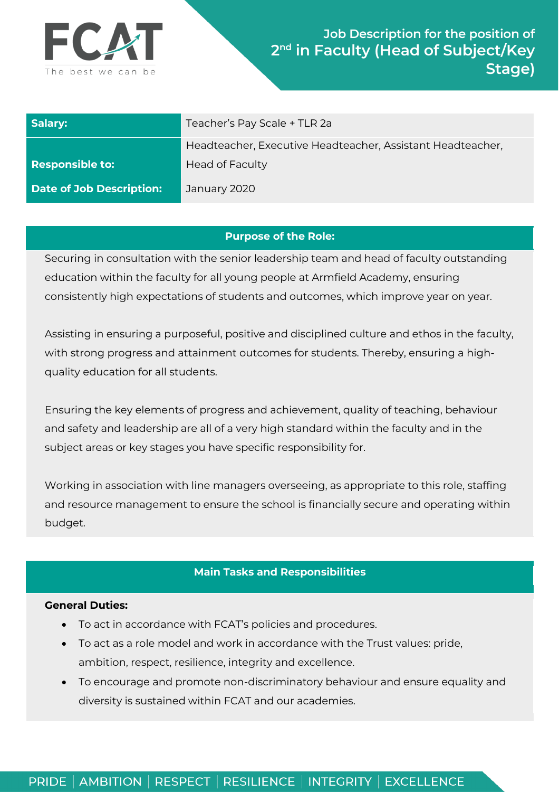

| Salary:                         | Teacher's Pay Scale + TLR 2a                                                         |
|---------------------------------|--------------------------------------------------------------------------------------|
| <b>Responsible to:</b>          | Headteacher, Executive Headteacher, Assistant Headteacher,<br><b>Head of Faculty</b> |
| <b>Date of Job Description:</b> | January 2020                                                                         |

## **Purpose of the Role:**

Securing in consultation with the senior leadership team and head of faculty outstanding education within the faculty for all young people at Armfield Academy, ensuring consistently high expectations of students and outcomes, which improve year on year.

Assisting in ensuring a purposeful, positive and disciplined culture and ethos in the faculty, with strong progress and attainment outcomes for students. Thereby, ensuring a highquality education for all students.

Ensuring the key elements of progress and achievement, quality of teaching, behaviour and safety and leadership are all of a very high standard within the faculty and in the subject areas or key stages you have specific responsibility for.

Working in association with line managers overseeing, as appropriate to this role, staffing and resource management to ensure the school is financially secure and operating within budget.

### **Main Tasks and Responsibilities**

### **General Duties:**

- To act in accordance with FCAT's policies and procedures.
- To act as a role model and work in accordance with the Trust values: pride, ambition, respect, resilience, integrity and excellence.
- To encourage and promote non-discriminatory behaviour and ensure equality and diversity is sustained within FCAT and our academies.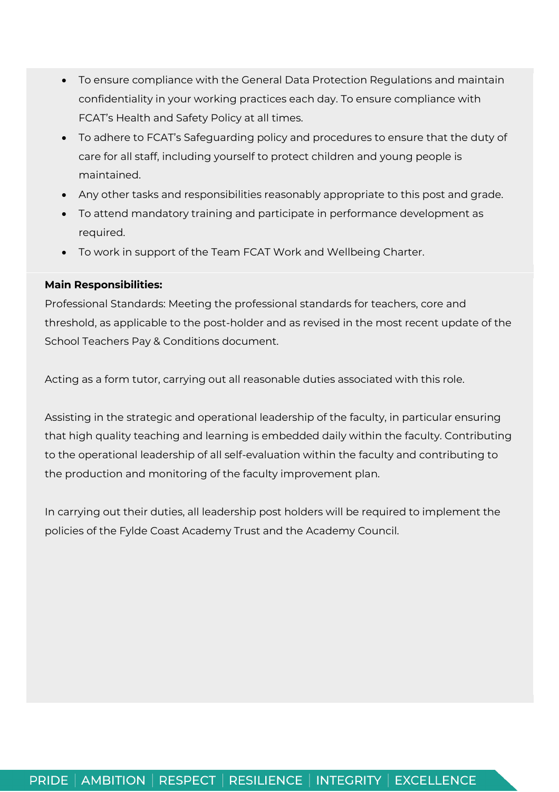- To ensure compliance with the General Data Protection Regulations and maintain confidentiality in your working practices each day. To ensure compliance with FCAT's Health and Safety Policy at all times.
- To adhere to FCAT's Safeguarding policy and procedures to ensure that the duty of care for all staff, including yourself to protect children and young people is maintained.
- Any other tasks and responsibilities reasonably appropriate to this post and grade.
- To attend mandatory training and participate in performance development as required.
- To work in support of the Team FCAT Work and Wellbeing Charter.

# **Main Responsibilities:**

Professional Standards: Meeting the professional standards for teachers, core and threshold, as applicable to the post-holder and as revised in the most recent update of the School Teachers Pay & Conditions document.

Acting as a form tutor, carrying out all reasonable duties associated with this role.

Assisting in the strategic and operational leadership of the faculty, in particular ensuring that high quality teaching and learning is embedded daily within the faculty. Contributing to the operational leadership of all self-evaluation within the faculty and contributing to the production and monitoring of the faculty improvement plan.

In carrying out their duties, all leadership post holders will be required to implement the policies of the Fylde Coast Academy Trust and the Academy Council.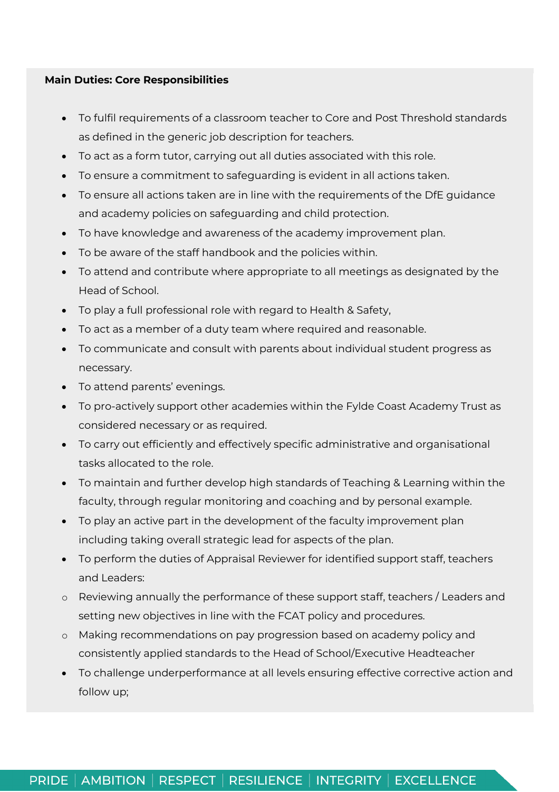### **Main Duties: Core Responsibilities**

- To fulfil requirements of a classroom teacher to Core and Post Threshold standards as defined in the generic job description for teachers.
- To act as a form tutor, carrying out all duties associated with this role.
- To ensure a commitment to safeguarding is evident in all actions taken.
- To ensure all actions taken are in line with the requirements of the DfE guidance and academy policies on safeguarding and child protection.
- To have knowledge and awareness of the academy improvement plan.
- To be aware of the staff handbook and the policies within.
- To attend and contribute where appropriate to all meetings as designated by the Head of School.
- To play a full professional role with regard to Health & Safety,
- To act as a member of a duty team where required and reasonable.
- To communicate and consult with parents about individual student progress as necessary.
- To attend parents' evenings.
- To pro-actively support other academies within the Fylde Coast Academy Trust as considered necessary or as required.
- To carry out efficiently and effectively specific administrative and organisational tasks allocated to the role.
- To maintain and further develop high standards of Teaching & Learning within the faculty, through regular monitoring and coaching and by personal example.
- To play an active part in the development of the faculty improvement plan including taking overall strategic lead for aspects of the plan.
- To perform the duties of Appraisal Reviewer for identified support staff, teachers and Leaders:
- o Reviewing annually the performance of these support staff, teachers / Leaders and setting new objectives in line with the FCAT policy and procedures.
- o Making recommendations on pay progression based on academy policy and consistently applied standards to the Head of School/Executive Headteacher
- To challenge underperformance at all levels ensuring effective corrective action and follow up;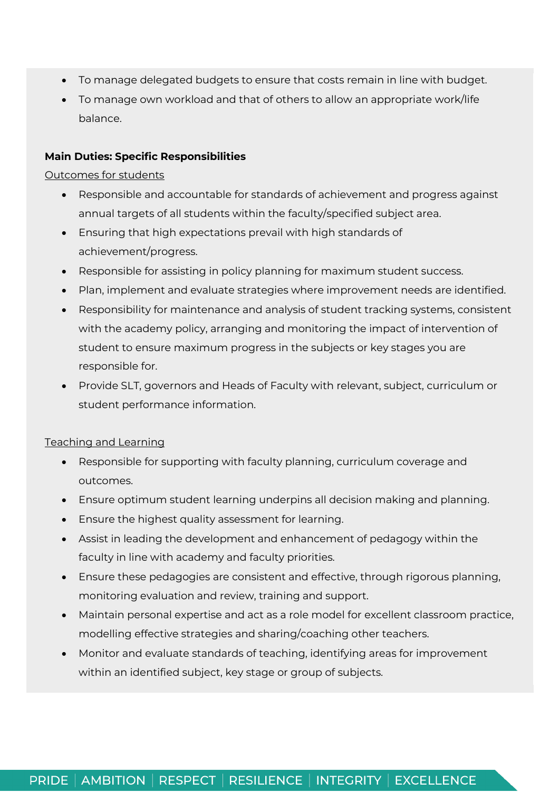- To manage delegated budgets to ensure that costs remain in line with budget.
- To manage own workload and that of others to allow an appropriate work/life balance.

## **Main Duties: Specific Responsibilities**

#### Outcomes for students

- Responsible and accountable for standards of achievement and progress against annual targets of all students within the faculty/specified subject area.
- Ensuring that high expectations prevail with high standards of achievement/progress.
- Responsible for assisting in policy planning for maximum student success.
- Plan, implement and evaluate strategies where improvement needs are identified.
- Responsibility for maintenance and analysis of student tracking systems, consistent with the academy policy, arranging and monitoring the impact of intervention of student to ensure maximum progress in the subjects or key stages you are responsible for.
- Provide SLT, governors and Heads of Faculty with relevant, subject, curriculum or student performance information.

# Teaching and Learning

- Responsible for supporting with faculty planning, curriculum coverage and outcomes.
- Ensure optimum student learning underpins all decision making and planning.
- Ensure the highest quality assessment for learning.
- Assist in leading the development and enhancement of pedagogy within the faculty in line with academy and faculty priorities.
- Ensure these pedagogies are consistent and effective, through rigorous planning, monitoring evaluation and review, training and support.
- Maintain personal expertise and act as a role model for excellent classroom practice, modelling effective strategies and sharing/coaching other teachers.
- Monitor and evaluate standards of teaching, identifying areas for improvement within an identified subject, key stage or group of subjects.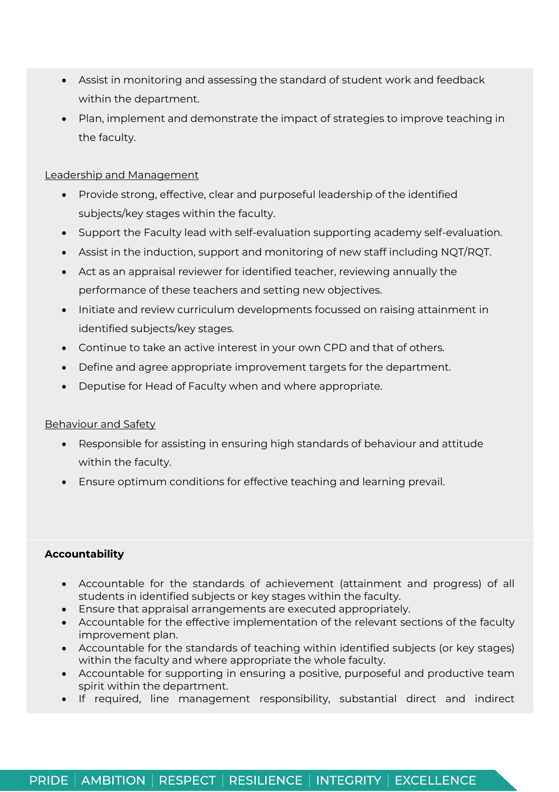- Assist in monitoring and assessing the standard of student work and feedback within the department.
- Plan, implement and demonstrate the impact of strategies to improve teaching in the faculty.

## Leadership and Management

- Provide strong, effective, clear and purposeful leadership of the identified subjects/key stages within the faculty.
- Support the Faculty lead with self-evaluation supporting academy self-evaluation.
- Assist in the induction, support and monitoring of new staff including NQT/RQT.
- Act as an appraisal reviewer for identified teacher, reviewing annually the performance of these teachers and setting new objectives.
- Initiate and review curriculum developments focussed on raising attainment in identified subjects/key stages.
- Continue to take an active interest in your own CPD and that of others.
- Define and agree appropriate improvement targets for the department.
- Deputise for Head of Faculty when and where appropriate.

# Behaviour and Safety

- Responsible for assisting in ensuring high standards of behaviour and attitude within the faculty.
- Ensure optimum conditions for effective teaching and learning prevail.

# **Accountability**

- Accountable for the standards of achievement (attainment and progress) of all students in identified subjects or key stages within the faculty.
- Ensure that appraisal arrangements are executed appropriately.
- Accountable for the effective implementation of the relevant sections of the faculty improvement plan.
- Accountable for the standards of teaching within identified subjects (or key stages) within the faculty and where appropriate the whole faculty.
- Accountable for supporting in ensuring a positive, purposeful and productive team spirit within the department.
- If required, line management responsibility, substantial direct and indirect